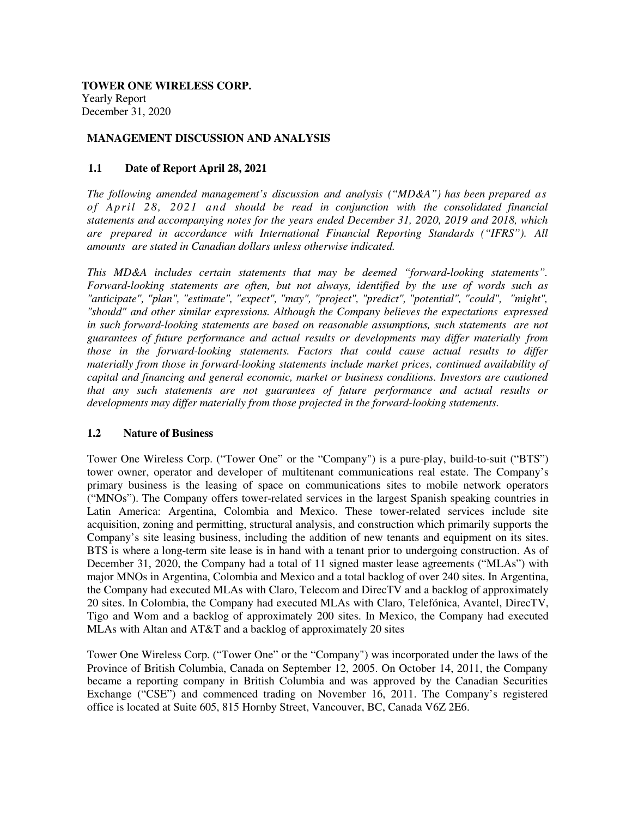**TOWER ONE WIRELESS CORP.**  Yearly Report December 31, 2020

### **MANAGEMENT DISCUSSION AND ANALYSIS**

### **1.1 Date of Report April 28, 2021**

*The following amended management's discussion and analysis ("MD&A") has been prepared as of April 28, 2021 and should be read in conjunction with the consolidated financial statements and accompanying notes for the years ended December 31, 2020, 2019 and 2018, which are prepared in accordance with International Financial Reporting Standards ("IFRS"). All amounts are stated in Canadian dollars unless otherwise indicated.*

*This MD&A includes certain statements that may be deemed "forward-looking statements". Forward-looking statements are often, but not always, identified by the use of words such as "anticipate", "plan", "estimate", "expect", "may", "project", "predict", "potential", "could", "might", "should" and other similar expressions. Although the Company believes the expectations expressed in such forward-looking statements are based on reasonable assumptions, such statements are not guarantees of future performance and actual results or developments may differ materially from those in the forward-looking statements. Factors that could cause actual results to differ materially from those in forward-looking statements include market prices, continued availability of capital and financing and general economic, market or business conditions. Investors are cautioned that any such statements are not guarantees of future performance and actual results or developments may differ materially from those projected in the forward-looking statements.* 

#### **1.2 Nature of Business**

Tower One Wireless Corp. ("Tower One" or the "Company") is a pure-play, build-to-suit ("BTS") tower owner, operator and developer of multitenant communications real estate. The Company's primary business is the leasing of space on communications sites to mobile network operators ("MNOs"). The Company offers tower-related services in the largest Spanish speaking countries in Latin America: Argentina, Colombia and Mexico. These tower-related services include site acquisition, zoning and permitting, structural analysis, and construction which primarily supports the Company's site leasing business, including the addition of new tenants and equipment on its sites. BTS is where a long-term site lease is in hand with a tenant prior to undergoing construction. As of December 31, 2020, the Company had a total of 11 signed master lease agreements ("MLAs") with major MNOs in Argentina, Colombia and Mexico and a total backlog of over 240 sites. In Argentina, the Company had executed MLAs with Claro, Telecom and DirecTV and a backlog of approximately 20 sites. In Colombia, the Company had executed MLAs with Claro, Telefónica, Avantel, DirecTV, Tigo and Wom and a backlog of approximately 200 sites. In Mexico, the Company had executed MLAs with Altan and AT&T and a backlog of approximately 20 sites

Tower One Wireless Corp. ("Tower One" or the "Company") was incorporated under the laws of the Province of British Columbia, Canada on September 12, 2005. On October 14, 2011, the Company became a reporting company in British Columbia and was approved by the Canadian Securities Exchange ("CSE") and commenced trading on November 16, 2011. The Company's registered office is located at Suite 605, 815 Hornby Street, Vancouver, BC, Canada V6Z 2E6.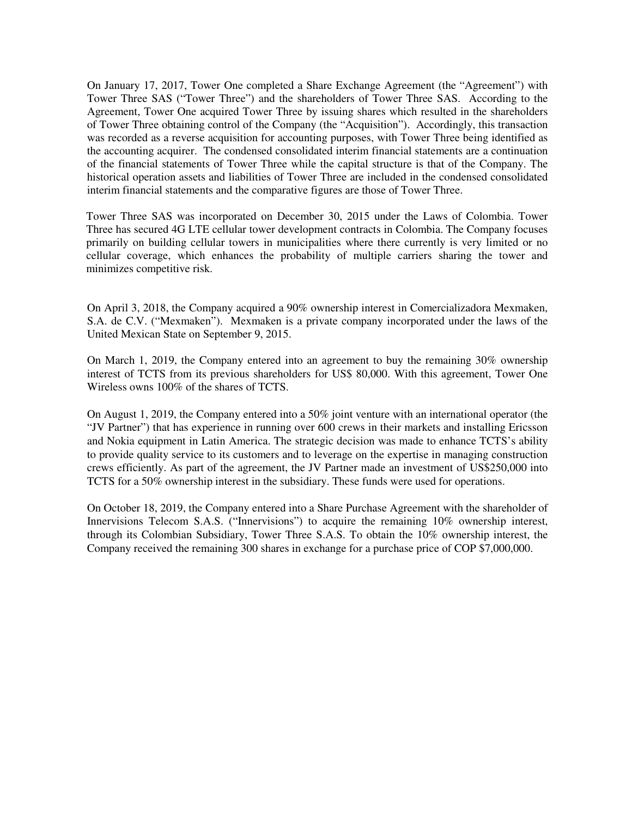On January 17, 2017, Tower One completed a Share Exchange Agreement (the "Agreement") with Tower Three SAS ("Tower Three") and the shareholders of Tower Three SAS. According to the Agreement, Tower One acquired Tower Three by issuing shares which resulted in the shareholders of Tower Three obtaining control of the Company (the "Acquisition"). Accordingly, this transaction was recorded as a reverse acquisition for accounting purposes, with Tower Three being identified as the accounting acquirer. The condensed consolidated interim financial statements are a continuation of the financial statements of Tower Three while the capital structure is that of the Company. The historical operation assets and liabilities of Tower Three are included in the condensed consolidated interim financial statements and the comparative figures are those of Tower Three.

Tower Three SAS was incorporated on December 30, 2015 under the Laws of Colombia. Tower Three has secured 4G LTE cellular tower development contracts in Colombia. The Company focuses primarily on building cellular towers in municipalities where there currently is very limited or no cellular coverage, which enhances the probability of multiple carriers sharing the tower and minimizes competitive risk.

On April 3, 2018, the Company acquired a 90% ownership interest in Comercializadora Mexmaken, S.A. de C.V. ("Mexmaken"). Mexmaken is a private company incorporated under the laws of the United Mexican State on September 9, 2015.

On March 1, 2019, the Company entered into an agreement to buy the remaining 30% ownership interest of TCTS from its previous shareholders for US\$ 80,000. With this agreement, Tower One Wireless owns 100% of the shares of TCTS.

On August 1, 2019, the Company entered into a 50% joint venture with an international operator (the "JV Partner") that has experience in running over 600 crews in their markets and installing Ericsson and Nokia equipment in Latin America. The strategic decision was made to enhance TCTS's ability to provide quality service to its customers and to leverage on the expertise in managing construction crews efficiently. As part of the agreement, the JV Partner made an investment of US\$250,000 into TCTS for a 50% ownership interest in the subsidiary. These funds were used for operations.

On October 18, 2019, the Company entered into a Share Purchase Agreement with the shareholder of Innervisions Telecom S.A.S. ("Innervisions") to acquire the remaining 10% ownership interest, through its Colombian Subsidiary, Tower Three S.A.S. To obtain the 10% ownership interest, the Company received the remaining 300 shares in exchange for a purchase price of COP \$7,000,000.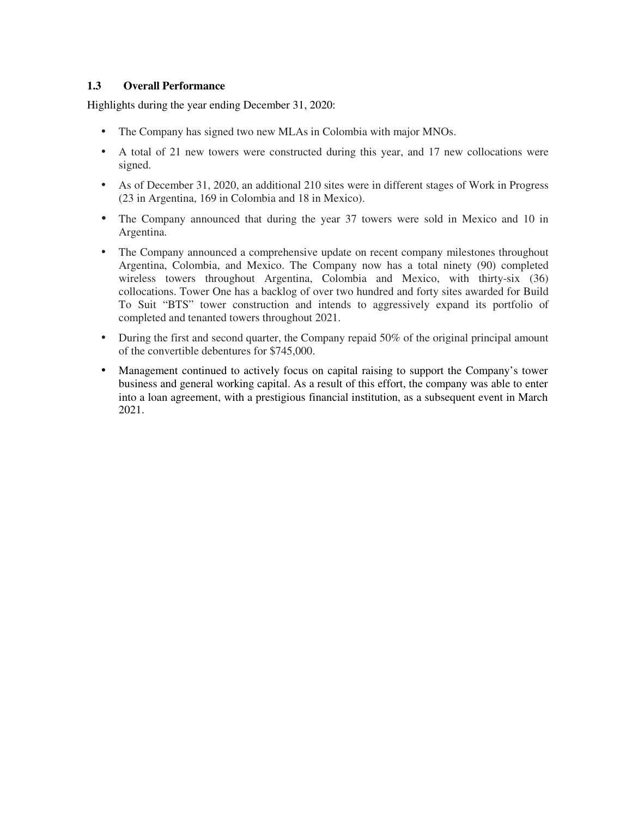# **1.3 Overall Performance**

Highlights during the year ending December 31, 2020:

- The Company has signed two new MLAs in Colombia with major MNOs.
- A total of 21 new towers were constructed during this year, and 17 new collocations were signed.
- As of December 31, 2020, an additional 210 sites were in different stages of Work in Progress (23 in Argentina, 169 in Colombia and 18 in Mexico).
- The Company announced that during the year 37 towers were sold in Mexico and 10 in Argentina.
- The Company announced a comprehensive update on recent company milestones throughout Argentina, Colombia, and Mexico. The Company now has a total ninety (90) completed wireless towers throughout Argentina, Colombia and Mexico, with thirty-six (36) collocations. Tower One has a backlog of over two hundred and forty sites awarded for Build To Suit "BTS" tower construction and intends to aggressively expand its portfolio of completed and tenanted towers throughout 2021.
- During the first and second quarter, the Company repaid 50% of the original principal amount of the convertible debentures for \$745,000.
- Management continued to actively focus on capital raising to support the Company's tower business and general working capital. As a result of this effort, the company was able to enter into a loan agreement, with a prestigious financial institution, as a subsequent event in March 2021.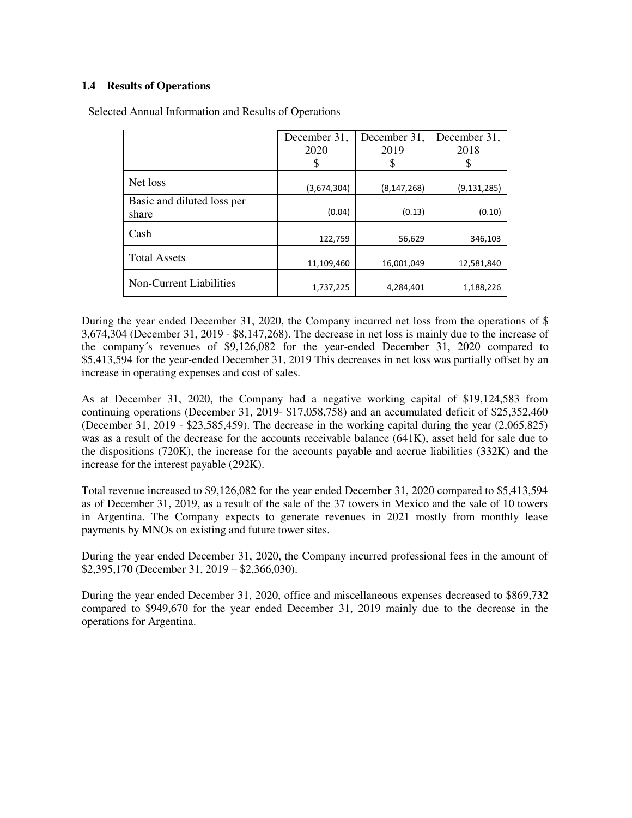# **1.4 Results of Operations**

|                                     | December 31, | December 31,  | December 31,  |
|-------------------------------------|--------------|---------------|---------------|
|                                     | 2020         | 2019          | 2018          |
|                                     |              |               |               |
| Net loss                            | (3,674,304)  | (8, 147, 268) | (9, 131, 285) |
| Basic and diluted loss per<br>share | (0.04)       | (0.13)        | (0.10)        |
| Cash                                | 122,759      | 56,629        | 346,103       |
| <b>Total Assets</b>                 | 11,109,460   | 16,001,049    | 12,581,840    |
| Non-Current Liabilities             | 1,737,225    | 4,284,401     | 1,188,226     |

Selected Annual Information and Results of Operations

During the year ended December 31, 2020, the Company incurred net loss from the operations of \$ 3,674,304 (December 31, 2019 - \$8,147,268). The decrease in net loss is mainly due to the increase of the company´s revenues of \$9,126,082 for the year-ended December 31, 2020 compared to \$5,413,594 for the year-ended December 31, 2019 This decreases in net loss was partially offset by an increase in operating expenses and cost of sales.

As at December 31, 2020, the Company had a negative working capital of \$19,124,583 from continuing operations (December 31, 2019- \$17,058,758) and an accumulated deficit of \$25,352,460 (December 31, 2019 - \$23,585,459). The decrease in the working capital during the year (2,065,825) was as a result of the decrease for the accounts receivable balance (641K), asset held for sale due to the dispositions (720K), the increase for the accounts payable and accrue liabilities (332K) and the increase for the interest payable (292K).

Total revenue increased to \$9,126,082 for the year ended December 31, 2020 compared to \$5,413,594 as of December 31, 2019, as a result of the sale of the 37 towers in Mexico and the sale of 10 towers in Argentina. The Company expects to generate revenues in 2021 mostly from monthly lease payments by MNOs on existing and future tower sites.

During the year ended December 31, 2020, the Company incurred professional fees in the amount of \$2,395,170 (December 31, 2019 – \$2,366,030).

During the year ended December 31, 2020, office and miscellaneous expenses decreased to \$869,732 compared to \$949,670 for the year ended December 31, 2019 mainly due to the decrease in the operations for Argentina.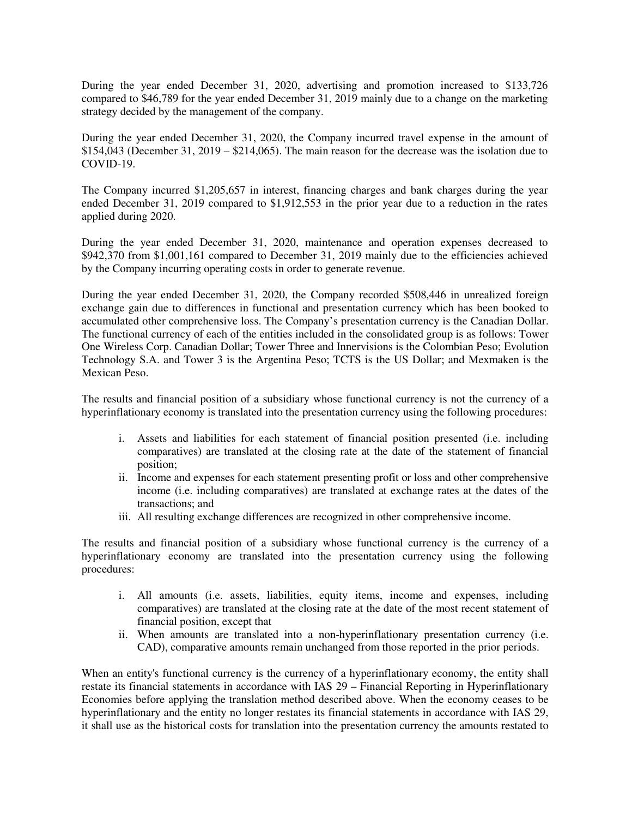During the year ended December 31, 2020, advertising and promotion increased to \$133,726 compared to \$46,789 for the year ended December 31, 2019 mainly due to a change on the marketing strategy decided by the management of the company.

During the year ended December 31, 2020, the Company incurred travel expense in the amount of  $$154,043$  (December 31, 2019 –  $$214,065$ ). The main reason for the decrease was the isolation due to COVID-19.

The Company incurred \$1,205,657 in interest, financing charges and bank charges during the year ended December 31, 2019 compared to \$1,912,553 in the prior year due to a reduction in the rates applied during 2020.

During the year ended December 31, 2020, maintenance and operation expenses decreased to \$942,370 from \$1,001,161 compared to December 31, 2019 mainly due to the efficiencies achieved by the Company incurring operating costs in order to generate revenue.

During the year ended December 31, 2020, the Company recorded \$508,446 in unrealized foreign exchange gain due to differences in functional and presentation currency which has been booked to accumulated other comprehensive loss. The Company's presentation currency is the Canadian Dollar. The functional currency of each of the entities included in the consolidated group is as follows: Tower One Wireless Corp. Canadian Dollar; Tower Three and Innervisions is the Colombian Peso; Evolution Technology S.A. and Tower 3 is the Argentina Peso; TCTS is the US Dollar; and Mexmaken is the Mexican Peso.

The results and financial position of a subsidiary whose functional currency is not the currency of a hyperinflationary economy is translated into the presentation currency using the following procedures:

- i. Assets and liabilities for each statement of financial position presented (i.e. including comparatives) are translated at the closing rate at the date of the statement of financial position;
- ii. Income and expenses for each statement presenting profit or loss and other comprehensive income (i.e. including comparatives) are translated at exchange rates at the dates of the transactions; and
- iii. All resulting exchange differences are recognized in other comprehensive income.

The results and financial position of a subsidiary whose functional currency is the currency of a hyperinflationary economy are translated into the presentation currency using the following procedures:

- i. All amounts (i.e. assets, liabilities, equity items, income and expenses, including comparatives) are translated at the closing rate at the date of the most recent statement of financial position, except that
- ii. When amounts are translated into a non-hyperinflationary presentation currency (i.e. CAD), comparative amounts remain unchanged from those reported in the prior periods.

When an entity's functional currency is the currency of a hyperinflationary economy, the entity shall restate its financial statements in accordance with IAS 29 – Financial Reporting in Hyperinflationary Economies before applying the translation method described above. When the economy ceases to be hyperinflationary and the entity no longer restates its financial statements in accordance with IAS 29, it shall use as the historical costs for translation into the presentation currency the amounts restated to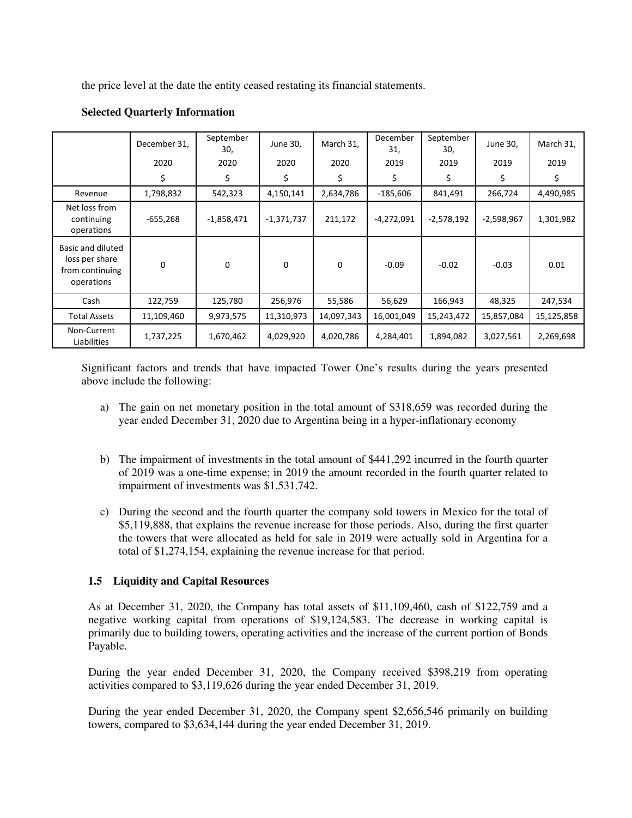the price level at the date the entity ceased restating its financial statements.

|                                                                      | December 31, | September<br>30, | June 30,     | March 31,  | December<br>31, | September<br>30, | June 30,     | March 31,  |
|----------------------------------------------------------------------|--------------|------------------|--------------|------------|-----------------|------------------|--------------|------------|
|                                                                      | 2020         | 2020             | 2020         | 2020       | 2019            | 2019             | 2019         | 2019       |
|                                                                      | \$           | \$               | \$           | \$         | \$              | \$               | Ś.           | \$         |
| Revenue                                                              | 1,798,832    | 542,323          | 4,150,141    | 2,634,786  | $-185,606$      | 841,491          | 266,724      | 4,490,985  |
| Net loss from<br>continuing<br>operations                            | $-655,268$   | $-1,858,471$     | $-1,371,737$ | 211,172    | $-4,272,091$    | $-2,578,192$     | $-2,598,967$ | 1,301,982  |
| Basic and diluted<br>loss per share<br>from continuing<br>operations | 0            | $\mathbf 0$      | $\Omega$     | $\Omega$   | $-0.09$         | $-0.02$          | $-0.03$      | 0.01       |
| Cash                                                                 | 122,759      | 125,780          | 256,976      | 55,586     | 56,629          | 166,943          | 48,325       | 247,534    |
| <b>Total Assets</b>                                                  | 11,109,460   | 9,973,575        | 11,310,973   | 14,097,343 | 16,001,049      | 15,243,472       | 15,857,084   | 15,125,858 |
| Non-Current<br>Liabilities                                           | 1,737,225    | 1,670,462        | 4,029,920    | 4,020,786  | 4,284,401       | 1,894,082        | 3,027,561    | 2,269,698  |

# **Selected Quarterly Information**

Significant factors and trends that have impacted Tower One's results during the years presented above include the following:

- a) The gain on net monetary position in the total amount of \$318,659 was recorded during the year ended December 31, 2020 due to Argentina being in a hyper-inflationary economy
- b) The impairment of investments in the total amount of \$441,292 incurred in the fourth quarter of 2019 was a one-time expense; in 2019 the amount recorded in the fourth quarter related to impairment of investments was \$1,531,742.
- c) During the second and the fourth quarter the company sold towers in Mexico for the total of \$5,119,888, that explains the revenue increase for those periods. Also, during the first quarter the towers that were allocated as held for sale in 2019 were actually sold in Argentina for a total of \$1,274,154, explaining the revenue increase for that period.

# **1.5 Liquidity and Capital Resources**

As at December 31, 2020, the Company has total assets of \$11,109,460, cash of \$122,759 and a negative working capital from operations of \$19,124,583. The decrease in working capital is primarily due to building towers, operating activities and the increase of the current portion of Bonds Payable.

During the year ended December 31, 2020, the Company received \$398,219 from operating activities compared to \$3,119,626 during the year ended December 31, 2019.

During the year ended December 31, 2020, the Company spent \$2,656,546 primarily on building towers, compared to \$3,634,144 during the year ended December 31, 2019.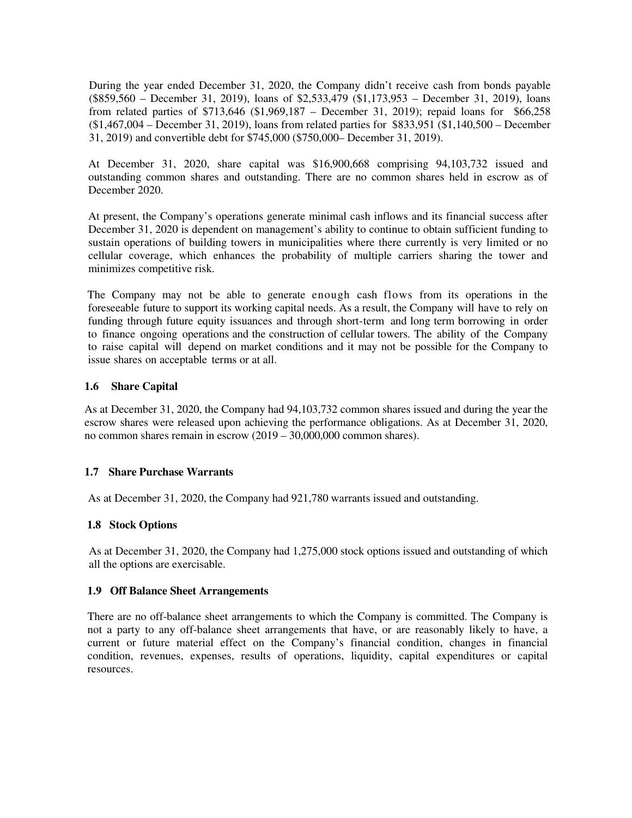During the year ended December 31, 2020, the Company didn't receive cash from bonds payable (\$859,560 – December 31, 2019), loans of \$2,533,479 (\$1,173,953 – December 31, 2019), loans from related parties of \$713,646 (\$1,969,187 – December 31, 2019); repaid loans for \$66,258 (\$1,467,004 – December 31, 2019), loans from related parties for \$833,951 (\$1,140,500 – December 31, 2019) and convertible debt for \$745,000 (\$750,000– December 31, 2019).

At December 31, 2020, share capital was \$16,900,668 comprising 94,103,732 issued and outstanding common shares and outstanding. There are no common shares held in escrow as of December 2020.

At present, the Company's operations generate minimal cash inflows and its financial success after December 31, 2020 is dependent on management's ability to continue to obtain sufficient funding to sustain operations of building towers in municipalities where there currently is very limited or no cellular coverage, which enhances the probability of multiple carriers sharing the tower and minimizes competitive risk.

The Company may not be able to generate enough cash flows from its operations in the foreseeable future to support its working capital needs. As a result, the Company will have to rely on funding through future equity issuances and through short-term and long term borrowing in order to finance ongoing operations and the construction of cellular towers. The ability of the Company to raise capital will depend on market conditions and it may not be possible for the Company to issue shares on acceptable terms or at all.

# **1.6 Share Capital**

As at December 31, 2020, the Company had 94,103,732 common shares issued and during the year the escrow shares were released upon achieving the performance obligations. As at December 31, 2020, no common shares remain in escrow (2019 – 30,000,000 common shares).

# **1.7 Share Purchase Warrants**

As at December 31, 2020, the Company had 921,780 warrants issued and outstanding.

# **1.8 Stock Options**

As at December 31, 2020, the Company had 1,275,000 stock options issued and outstanding of which all the options are exercisable.

#### **1.9 Off Balance Sheet Arrangements**

There are no off-balance sheet arrangements to which the Company is committed. The Company is not a party to any off-balance sheet arrangements that have, or are reasonably likely to have, a current or future material effect on the Company's financial condition, changes in financial condition, revenues, expenses, results of operations, liquidity, capital expenditures or capital resources.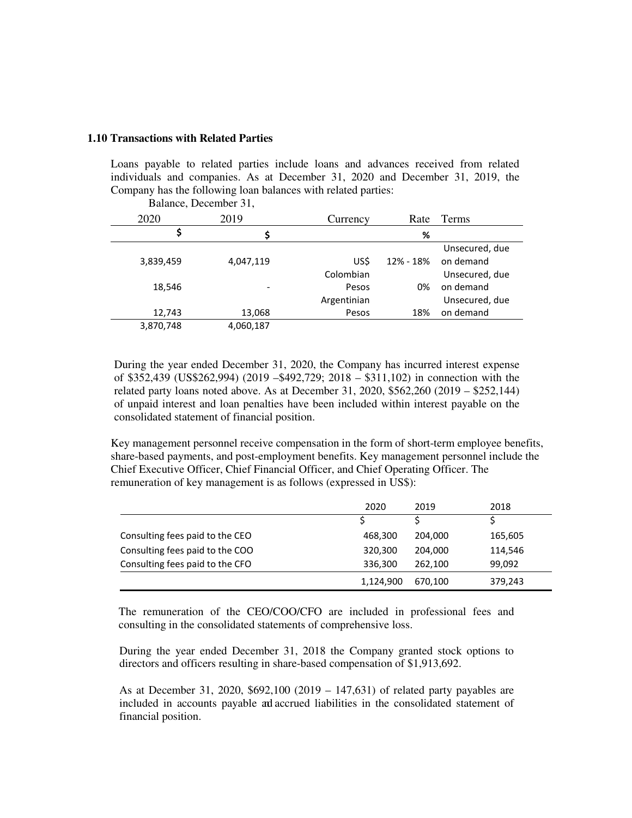#### **1.10 Transactions with Related Parties**

Loans payable to related parties include loans and advances received from related individuals and companies. As at December 31, 2020 and December 31, 2019, the Company has the following loan balances with related parties: Balance, December 31,

|           | $D$ anance, $D$ cecinoci $D1$ , |             |           |                |
|-----------|---------------------------------|-------------|-----------|----------------|
| 2020      | 2019                            | Currency    | Rate      | Terms          |
| \$        | \$                              |             | %         |                |
|           |                                 |             |           | Unsecured, due |
| 3,839,459 | 4,047,119                       | US\$        | 12% - 18% | on demand      |
|           |                                 | Colombian   |           | Unsecured, due |
| 18,546    | $\overline{\phantom{0}}$        | Pesos       | 0%        | on demand      |
|           |                                 | Argentinian |           | Unsecured, due |
| 12,743    | 13,068                          | Pesos       | 18%       | on demand      |
| 3,870,748 | 4,060,187                       |             |           |                |
|           |                                 |             |           |                |

During the year ended December 31, 2020, the Company has incurred interest expense of \$352,439 (US\$262,994) (2019 –\$492,729; 2018 – \$311,102) in connection with the related party loans noted above. As at December 31, 2020, \$562,260 (2019 – \$252,144) of unpaid interest and loan penalties have been included within interest payable on the consolidated statement of financial position.

Key management personnel receive compensation in the form of short-term employee benefits, share-based payments, and post-employment benefits. Key management personnel include the Chief Executive Officer, Chief Financial Officer, and Chief Operating Officer. The remuneration of key management is as follows (expressed in US\$):

|                                 | 2020      | 2019    | 2018    |
|---------------------------------|-----------|---------|---------|
|                                 |           |         |         |
| Consulting fees paid to the CEO | 468,300   | 204,000 | 165,605 |
| Consulting fees paid to the COO | 320,300   | 204,000 | 114,546 |
| Consulting fees paid to the CFO | 336,300   | 262,100 | 99,092  |
|                                 | 1,124,900 | 670.100 | 379,243 |

The remuneration of the CEO/COO/CFO are included in professional fees and consulting in the consolidated statements of comprehensive loss.

During the year ended December 31, 2018 the Company granted stock options to directors and officers resulting in share-based compensation of \$1,913,692.

As at December 31, 2020, \$692,100 (2019 – 147,631) of related party payables are included in accounts payable and accrued liabilities in the consolidated statement of financial position.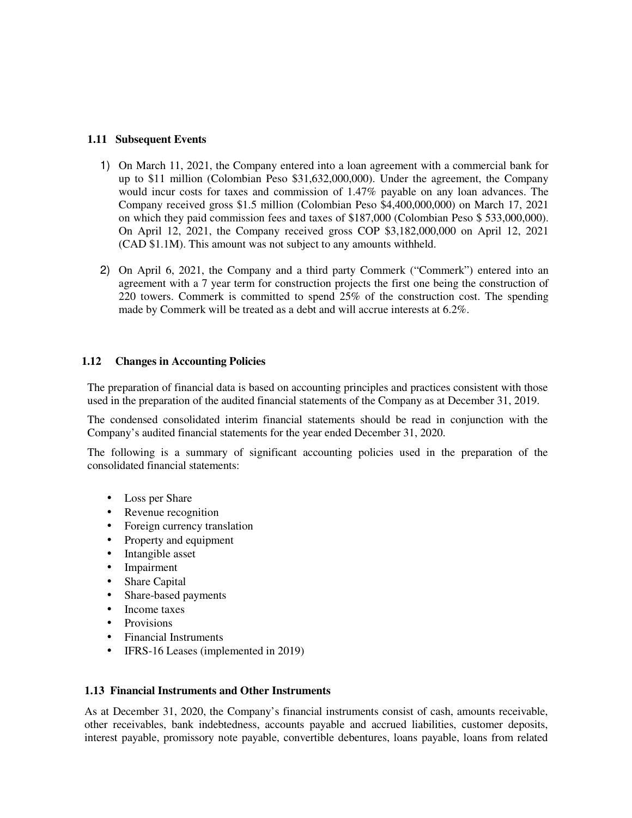### **1.11 Subsequent Events**

- 1) On March 11, 2021, the Company entered into a loan agreement with a commercial bank for up to \$11 million (Colombian Peso \$31,632,000,000). Under the agreement, the Company would incur costs for taxes and commission of 1.47% payable on any loan advances. The Company received gross \$1.5 million (Colombian Peso \$4,400,000,000) on March 17, 2021 on which they paid commission fees and taxes of \$187,000 (Colombian Peso \$ 533,000,000). On April 12, 2021, the Company received gross COP \$3,182,000,000 on April 12, 2021 (CAD \$1.1M). This amount was not subject to any amounts withheld.
- 2) On April 6, 2021, the Company and a third party Commerk ("Commerk") entered into an agreement with a 7 year term for construction projects the first one being the construction of 220 towers. Commerk is committed to spend 25% of the construction cost. The spending made by Commerk will be treated as a debt and will accrue interests at 6.2%.

#### **1.12 Changes in Accounting Policies**

The preparation of financial data is based on accounting principles and practices consistent with those used in the preparation of the audited financial statements of the Company as at December 31, 2019.

The condensed consolidated interim financial statements should be read in conjunction with the Company's audited financial statements for the year ended December 31, 2020.

The following is a summary of significant accounting policies used in the preparation of the consolidated financial statements:

- Loss per Share
- Revenue recognition
- Foreign currency translation
- Property and equipment
- Intangible asset
- **Impairment**
- Share Capital
- Share-based payments
- Income taxes
- **Provisions**
- Financial Instruments
- IFRS-16 Leases (implemented in 2019)

#### **1.13 Financial Instruments and Other Instruments**

As at December 31, 2020, the Company's financial instruments consist of cash, amounts receivable, other receivables, bank indebtedness, accounts payable and accrued liabilities, customer deposits, interest payable, promissory note payable, convertible debentures, loans payable, loans from related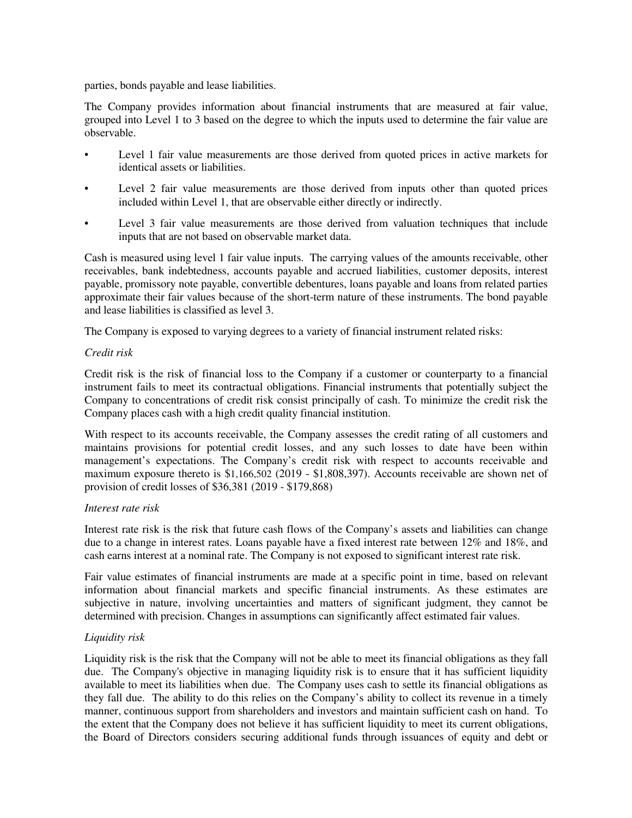parties, bonds payable and lease liabilities.

The Company provides information about financial instruments that are measured at fair value, grouped into Level 1 to 3 based on the degree to which the inputs used to determine the fair value are observable.

- Level 1 fair value measurements are those derived from quoted prices in active markets for identical assets or liabilities.
- Level 2 fair value measurements are those derived from inputs other than quoted prices included within Level 1, that are observable either directly or indirectly.
- Level 3 fair value measurements are those derived from valuation techniques that include inputs that are not based on observable market data.

Cash is measured using level 1 fair value inputs. The carrying values of the amounts receivable, other receivables, bank indebtedness, accounts payable and accrued liabilities, customer deposits, interest payable, promissory note payable, convertible debentures, loans payable and loans from related parties approximate their fair values because of the short-term nature of these instruments. The bond payable and lease liabilities is classified as level 3.

The Company is exposed to varying degrees to a variety of financial instrument related risks:

#### *Credit risk*

Credit risk is the risk of financial loss to the Company if a customer or counterparty to a financial instrument fails to meet its contractual obligations. Financial instruments that potentially subject the Company to concentrations of credit risk consist principally of cash. To minimize the credit risk the Company places cash with a high credit quality financial institution.

With respect to its accounts receivable, the Company assesses the credit rating of all customers and maintains provisions for potential credit losses, and any such losses to date have been within management's expectations. The Company's credit risk with respect to accounts receivable and maximum exposure thereto is \$1,166,502 (2019 - \$1,808,397). Accounts receivable are shown net of provision of credit losses of \$36,381 (2019 - \$179,868)

#### *Interest rate risk*

Interest rate risk is the risk that future cash flows of the Company's assets and liabilities can change due to a change in interest rates. Loans payable have a fixed interest rate between 12% and 18%, and cash earns interest at a nominal rate. The Company is not exposed to significant interest rate risk.

Fair value estimates of financial instruments are made at a specific point in time, based on relevant information about financial markets and specific financial instruments. As these estimates are subjective in nature, involving uncertainties and matters of significant judgment, they cannot be determined with precision. Changes in assumptions can significantly affect estimated fair values.

# *Liquidity risk*

Liquidity risk is the risk that the Company will not be able to meet its financial obligations as they fall due. The Company's objective in managing liquidity risk is to ensure that it has sufficient liquidity available to meet its liabilities when due. The Company uses cash to settle its financial obligations as they fall due. The ability to do this relies on the Company's ability to collect its revenue in a timely manner, continuous support from shareholders and investors and maintain sufficient cash on hand. To the extent that the Company does not believe it has sufficient liquidity to meet its current obligations, the Board of Directors considers securing additional funds through issuances of equity and debt or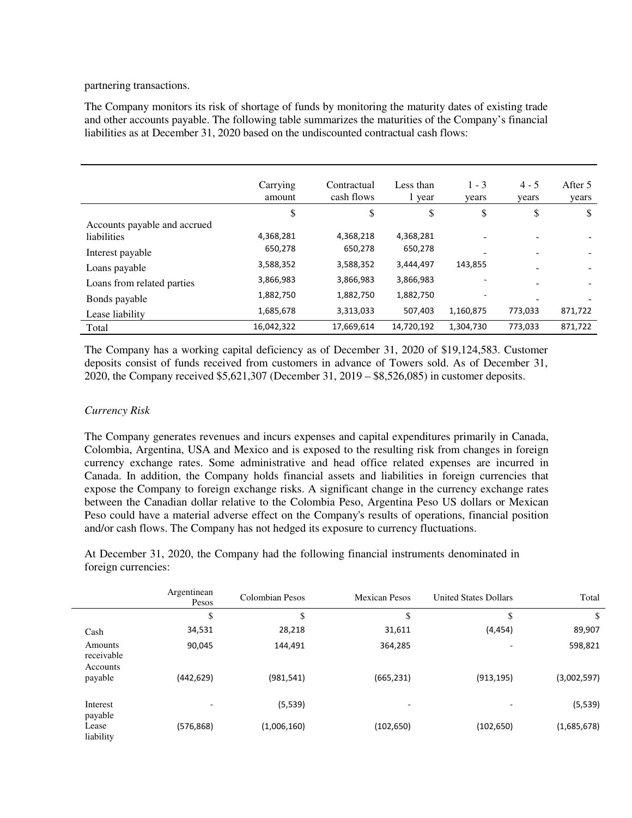partnering transactions.

The Company monitors its risk of shortage of funds by monitoring the maturity dates of existing trade and other accounts payable. The following table summarizes the maturities of the Company's financial liabilities as at December 31, 2020 based on the undiscounted contractual cash flows:

|                              | Carrying<br>amount | Contractual<br>cash flows | Less than<br>1 year | $1 - 3$<br>years | $4 - 5$<br>years | After 5<br>years |
|------------------------------|--------------------|---------------------------|---------------------|------------------|------------------|------------------|
|                              | \$                 | \$                        | \$                  | \$               | \$               | \$               |
| Accounts payable and accrued |                    |                           |                     |                  |                  |                  |
| <i>liabilities</i>           | 4,368,281          | 4,368,218                 | 4,368,281           |                  |                  |                  |
| Interest payable             | 650,278            | 650,278                   | 650,278             |                  |                  |                  |
| Loans payable                | 3,588,352          | 3,588,352                 | 3,444,497           | 143,855          |                  |                  |
| Loans from related parties   | 3,866,983          | 3,866,983                 | 3,866,983           | ٠                |                  |                  |
| Bonds payable                | 1,882,750          | 1,882,750                 | 1,882,750           |                  |                  |                  |
| Lease liability              | 1,685,678          | 3,313,033                 | 507,403             | 1,160,875        | 773,033          | 871,722          |
| Total                        | 16,042,322         | 17,669,614                | 14,720,192          | 1,304,730        | 773,033          | 871,722          |

The Company has a working capital deficiency as of December 31, 2020 of \$19,124,583. Customer deposits consist of funds received from customers in advance of Towers sold. As of December 31, 2020, the Company received \$5,621,307 (December 31, 2019 – \$8,526,085) in customer deposits.

### *Currency Risk*

The Company generates revenues and incurs expenses and capital expenditures primarily in Canada, Colombia, Argentina, USA and Mexico and is exposed to the resulting risk from changes in foreign currency exchange rates. Some administrative and head office related expenses are incurred in Canada. In addition, the Company holds financial assets and liabilities in foreign currencies that expose the Company to foreign exchange risks. A significant change in the currency exchange rates between the Canadian dollar relative to the Colombia Peso, Argentina Peso US dollars or Mexican Peso could have a material adverse effect on the Company's results of operations, financial position and/or cash flows. The Company has not hedged its exposure to currency fluctuations.

At December 31, 2020, the Company had the following financial instruments denominated in foreign currencies:

|                                   | Argentinean<br>Pesos | Colombian Pesos | <b>Mexican Pesos</b> | <b>United States Dollars</b> | Total       |
|-----------------------------------|----------------------|-----------------|----------------------|------------------------------|-------------|
|                                   | \$                   | D               | ъ                    | \$                           | \$          |
| Cash                              | 34,531               | 28,218          | 31,611               | (4, 454)                     | 89,907      |
| Amounts<br>receivable<br>Accounts | 90,045               | 144,491         | 364,285              |                              | 598,821     |
| payable                           | (442, 629)           | (981, 541)      | (665, 231)           | (913, 195)                   | (3,002,597) |
| Interest<br>payable               |                      | (5, 539)        | -                    |                              | (5, 539)    |
| Lease<br>liability                | (576, 868)           | (1,006,160)     | (102, 650)           | (102, 650)                   | (1,685,678) |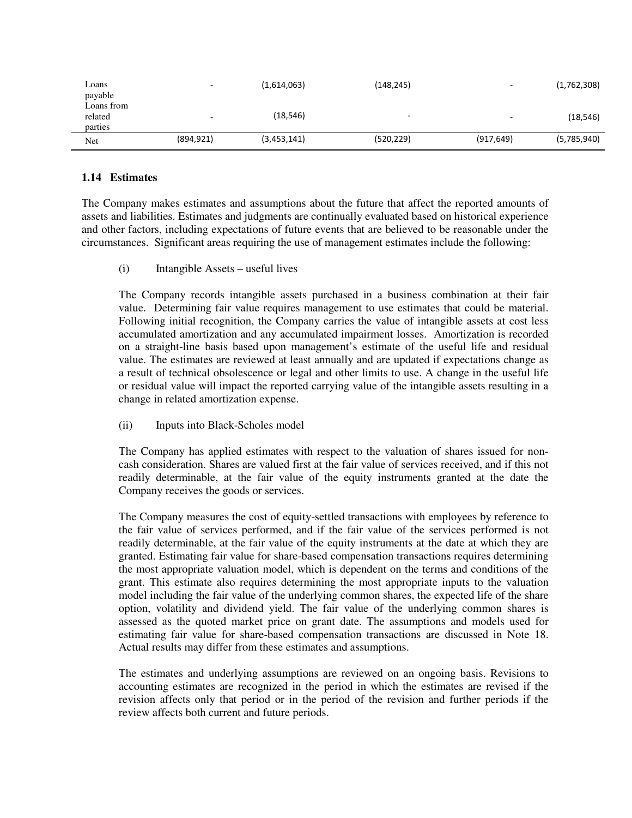| Loans<br>payable                 |                          | (1,614,063) | (148, 245)               |            | (1,762,308) |
|----------------------------------|--------------------------|-------------|--------------------------|------------|-------------|
| Loans from<br>related<br>parties | $\overline{\phantom{a}}$ | (18, 546)   | $\overline{\phantom{0}}$ |            | (18, 546)   |
| Net                              | (894, 921)               | (3,453,141) | (520, 229)               | (917, 649) | (5,785,940) |

### **1.14 Estimates**

The Company makes estimates and assumptions about the future that affect the reported amounts of assets and liabilities. Estimates and judgments are continually evaluated based on historical experience and other factors, including expectations of future events that are believed to be reasonable under the circumstances. Significant areas requiring the use of management estimates include the following:

(i) Intangible Assets – useful lives

The Company records intangible assets purchased in a business combination at their fair value. Determining fair value requires management to use estimates that could be material. Following initial recognition, the Company carries the value of intangible assets at cost less accumulated amortization and any accumulated impairment losses. Amortization is recorded on a straight-line basis based upon management's estimate of the useful life and residual value. The estimates are reviewed at least annually and are updated if expectations change as a result of technical obsolescence or legal and other limits to use. A change in the useful life or residual value will impact the reported carrying value of the intangible assets resulting in a change in related amortization expense.

(ii) Inputs into Black-Scholes model

The Company has applied estimates with respect to the valuation of shares issued for noncash consideration. Shares are valued first at the fair value of services received, and if this not readily determinable, at the fair value of the equity instruments granted at the date the Company receives the goods or services.

The Company measures the cost of equity-settled transactions with employees by reference to the fair value of services performed, and if the fair value of the services performed is not readily determinable, at the fair value of the equity instruments at the date at which they are granted. Estimating fair value for share-based compensation transactions requires determining the most appropriate valuation model, which is dependent on the terms and conditions of the grant. This estimate also requires determining the most appropriate inputs to the valuation model including the fair value of the underlying common shares, the expected life of the share option, volatility and dividend yield. The fair value of the underlying common shares is assessed as the quoted market price on grant date. The assumptions and models used for estimating fair value for share-based compensation transactions are discussed in Note 18. Actual results may differ from these estimates and assumptions.

The estimates and underlying assumptions are reviewed on an ongoing basis. Revisions to accounting estimates are recognized in the period in which the estimates are revised if the revision affects only that period or in the period of the revision and further periods if the review affects both current and future periods.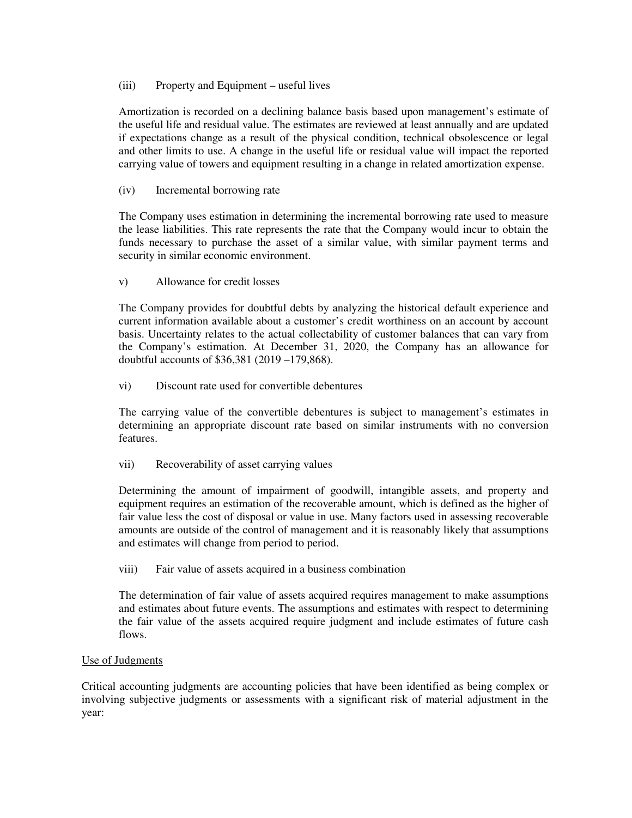(iii) Property and Equipment – useful lives

Amortization is recorded on a declining balance basis based upon management's estimate of the useful life and residual value. The estimates are reviewed at least annually and are updated if expectations change as a result of the physical condition, technical obsolescence or legal and other limits to use. A change in the useful life or residual value will impact the reported carrying value of towers and equipment resulting in a change in related amortization expense.

(iv) Incremental borrowing rate

The Company uses estimation in determining the incremental borrowing rate used to measure the lease liabilities. This rate represents the rate that the Company would incur to obtain the funds necessary to purchase the asset of a similar value, with similar payment terms and security in similar economic environment.

v) Allowance for credit losses

The Company provides for doubtful debts by analyzing the historical default experience and current information available about a customer's credit worthiness on an account by account basis. Uncertainty relates to the actual collectability of customer balances that can vary from the Company's estimation. At December 31, 2020, the Company has an allowance for doubtful accounts of \$36,381 (2019 –179,868).

vi) Discount rate used for convertible debentures

The carrying value of the convertible debentures is subject to management's estimates in determining an appropriate discount rate based on similar instruments with no conversion features.

vii) Recoverability of asset carrying values

Determining the amount of impairment of goodwill, intangible assets, and property and equipment requires an estimation of the recoverable amount, which is defined as the higher of fair value less the cost of disposal or value in use. Many factors used in assessing recoverable amounts are outside of the control of management and it is reasonably likely that assumptions and estimates will change from period to period.

viii) Fair value of assets acquired in a business combination

The determination of fair value of assets acquired requires management to make assumptions and estimates about future events. The assumptions and estimates with respect to determining the fair value of the assets acquired require judgment and include estimates of future cash flows.

# Use of Judgments

Critical accounting judgments are accounting policies that have been identified as being complex or involving subjective judgments or assessments with a significant risk of material adjustment in the year: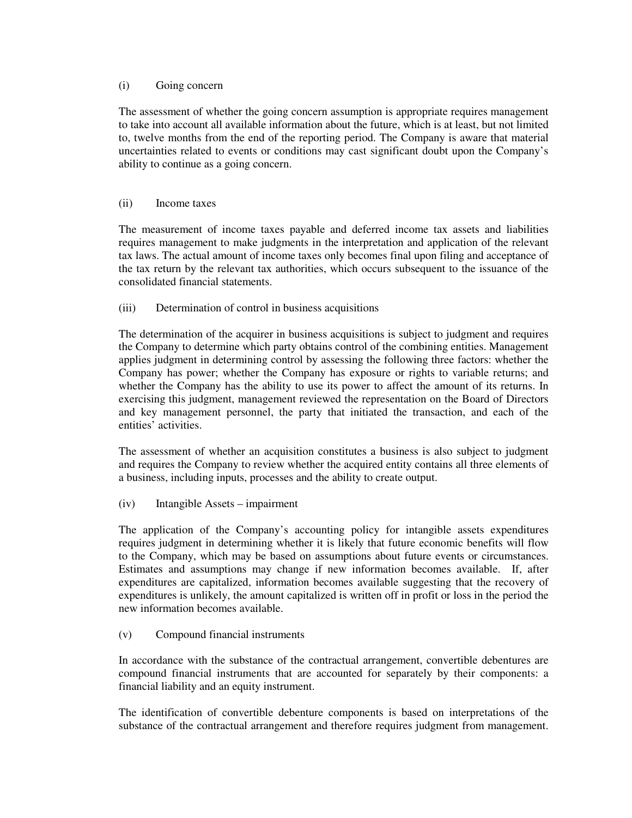### (i) Going concern

The assessment of whether the going concern assumption is appropriate requires management to take into account all available information about the future, which is at least, but not limited to, twelve months from the end of the reporting period. The Company is aware that material uncertainties related to events or conditions may cast significant doubt upon the Company's ability to continue as a going concern.

### (ii) Income taxes

The measurement of income taxes payable and deferred income tax assets and liabilities requires management to make judgments in the interpretation and application of the relevant tax laws. The actual amount of income taxes only becomes final upon filing and acceptance of the tax return by the relevant tax authorities, which occurs subsequent to the issuance of the consolidated financial statements.

# (iii) Determination of control in business acquisitions

The determination of the acquirer in business acquisitions is subject to judgment and requires the Company to determine which party obtains control of the combining entities. Management applies judgment in determining control by assessing the following three factors: whether the Company has power; whether the Company has exposure or rights to variable returns; and whether the Company has the ability to use its power to affect the amount of its returns. In exercising this judgment, management reviewed the representation on the Board of Directors and key management personnel, the party that initiated the transaction, and each of the entities' activities.

The assessment of whether an acquisition constitutes a business is also subject to judgment and requires the Company to review whether the acquired entity contains all three elements of a business, including inputs, processes and the ability to create output.

(iv) Intangible Assets – impairment

The application of the Company's accounting policy for intangible assets expenditures requires judgment in determining whether it is likely that future economic benefits will flow to the Company, which may be based on assumptions about future events or circumstances. Estimates and assumptions may change if new information becomes available. If, after expenditures are capitalized, information becomes available suggesting that the recovery of expenditures is unlikely, the amount capitalized is written off in profit or loss in the period the new information becomes available.

# (v) Compound financial instruments

In accordance with the substance of the contractual arrangement, convertible debentures are compound financial instruments that are accounted for separately by their components: a financial liability and an equity instrument.

The identification of convertible debenture components is based on interpretations of the substance of the contractual arrangement and therefore requires judgment from management.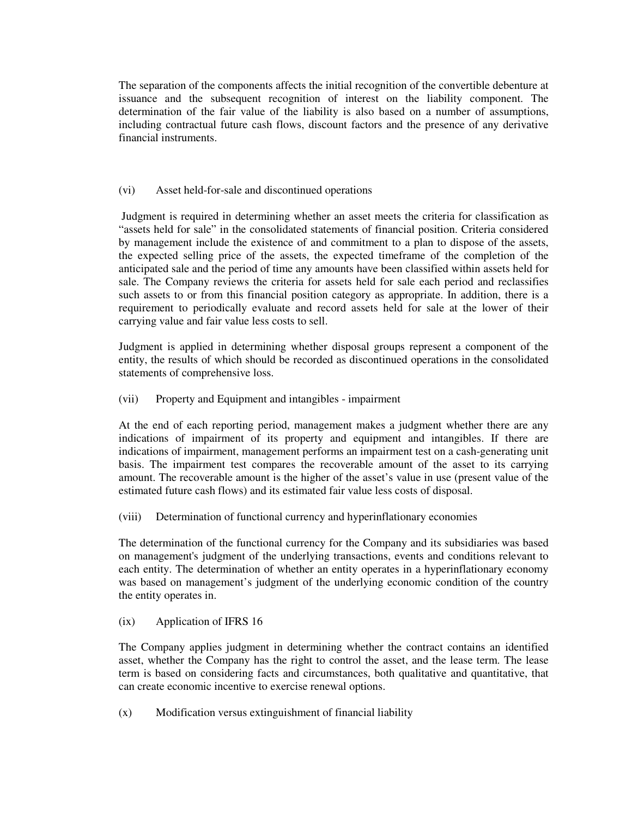The separation of the components affects the initial recognition of the convertible debenture at issuance and the subsequent recognition of interest on the liability component. The determination of the fair value of the liability is also based on a number of assumptions, including contractual future cash flows, discount factors and the presence of any derivative financial instruments.

# (vi) Asset held-for-sale and discontinued operations

 Judgment is required in determining whether an asset meets the criteria for classification as "assets held for sale" in the consolidated statements of financial position. Criteria considered by management include the existence of and commitment to a plan to dispose of the assets, the expected selling price of the assets, the expected timeframe of the completion of the anticipated sale and the period of time any amounts have been classified within assets held for sale. The Company reviews the criteria for assets held for sale each period and reclassifies such assets to or from this financial position category as appropriate. In addition, there is a requirement to periodically evaluate and record assets held for sale at the lower of their carrying value and fair value less costs to sell.

Judgment is applied in determining whether disposal groups represent a component of the entity, the results of which should be recorded as discontinued operations in the consolidated statements of comprehensive loss.

(vii) Property and Equipment and intangibles - impairment

At the end of each reporting period, management makes a judgment whether there are any indications of impairment of its property and equipment and intangibles. If there are indications of impairment, management performs an impairment test on a cash-generating unit basis. The impairment test compares the recoverable amount of the asset to its carrying amount. The recoverable amount is the higher of the asset's value in use (present value of the estimated future cash flows) and its estimated fair value less costs of disposal.

(viii) Determination of functional currency and hyperinflationary economies

The determination of the functional currency for the Company and its subsidiaries was based on management's judgment of the underlying transactions, events and conditions relevant to each entity. The determination of whether an entity operates in a hyperinflationary economy was based on management's judgment of the underlying economic condition of the country the entity operates in.

(ix) Application of IFRS 16

The Company applies judgment in determining whether the contract contains an identified asset, whether the Company has the right to control the asset, and the lease term. The lease term is based on considering facts and circumstances, both qualitative and quantitative, that can create economic incentive to exercise renewal options.

(x) Modification versus extinguishment of financial liability